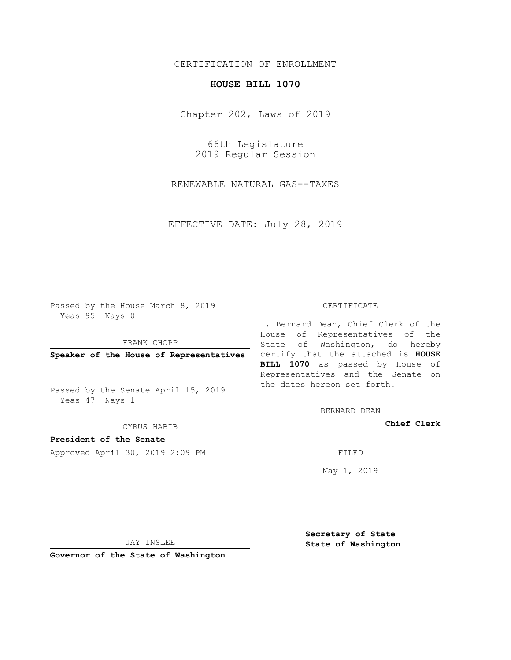## CERTIFICATION OF ENROLLMENT

## **HOUSE BILL 1070**

Chapter 202, Laws of 2019

66th Legislature 2019 Regular Session

RENEWABLE NATURAL GAS--TAXES

EFFECTIVE DATE: July 28, 2019

Passed by the House March 8, 2019 Yeas 95 Nays 0

FRANK CHOPP

Passed by the Senate April 15, 2019 Yeas 47 Nays 1

CYRUS HABIB

**President of the Senate**

Approved April 30, 2019 2:09 PM FILED

#### CERTIFICATE

**Speaker of the House of Representatives** certify that the attached is **HOUSE** I, Bernard Dean, Chief Clerk of the House of Representatives of the State of Washington, do hereby **BILL 1070** as passed by House of Representatives and the Senate on the dates hereon set forth.

BERNARD DEAN

**Chief Clerk**

May 1, 2019

JAY INSLEE

**Governor of the State of Washington**

**Secretary of State State of Washington**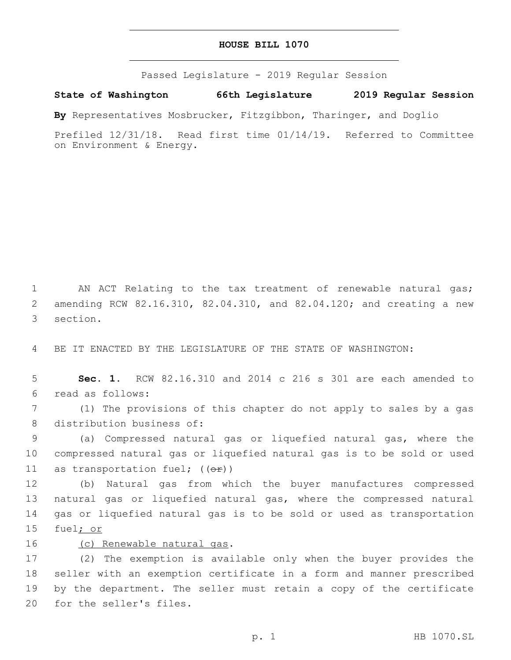### **HOUSE BILL 1070**

Passed Legislature - 2019 Regular Session

**State of Washington 66th Legislature 2019 Regular Session**

**By** Representatives Mosbrucker, Fitzgibbon, Tharinger, and Doglio

Prefiled 12/31/18. Read first time 01/14/19. Referred to Committee on Environment & Energy.

1 AN ACT Relating to the tax treatment of renewable natural gas; 2 amending RCW 82.16.310, 82.04.310, and 82.04.120; and creating a new 3 section.

4 BE IT ENACTED BY THE LEGISLATURE OF THE STATE OF WASHINGTON:

5 **Sec. 1.** RCW 82.16.310 and 2014 c 216 s 301 are each amended to read as follows:6

7 (1) The provisions of this chapter do not apply to sales by a gas 8 distribution business of:

9 (a) Compressed natural gas or liquefied natural gas, where the 10 compressed natural gas or liquefied natural gas is to be sold or used 11 as transportation fuel;  $((\theta \cdot \hat{r}))$ 

 (b) Natural gas from which the buyer manufactures compressed natural gas or liquefied natural gas, where the compressed natural gas or liquefied natural gas is to be sold or used as transportation 15 fuel; or

# 16 (c) Renewable natural gas.

 (2) The exemption is available only when the buyer provides the seller with an exemption certificate in a form and manner prescribed by the department. The seller must retain a copy of the certificate 20 for the seller's files.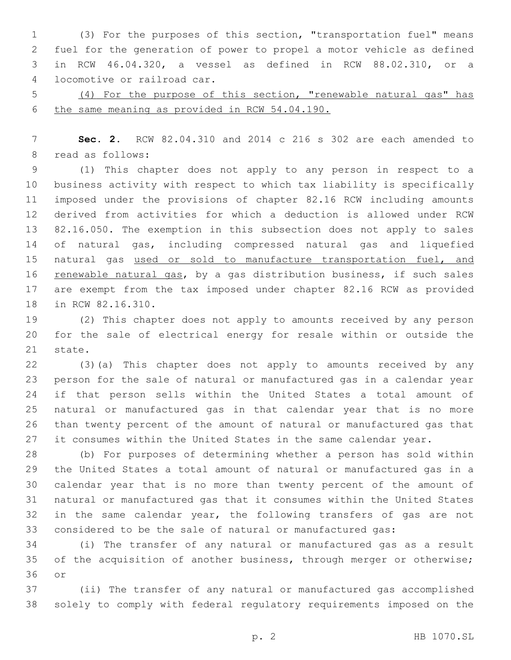(3) For the purposes of this section, "transportation fuel" means fuel for the generation of power to propel a motor vehicle as defined in RCW 46.04.320, a vessel as defined in RCW 88.02.310, or a locomotive or railroad car.4

 (4) For the purpose of this section, "renewable natural gas" has the same meaning as provided in RCW 54.04.190.

 **Sec. 2.** RCW 82.04.310 and 2014 c 216 s 302 are each amended to 8 read as follows:

 (1) This chapter does not apply to any person in respect to a business activity with respect to which tax liability is specifically imposed under the provisions of chapter 82.16 RCW including amounts derived from activities for which a deduction is allowed under RCW 82.16.050. The exemption in this subsection does not apply to sales of natural gas, including compressed natural gas and liquefied 15 natural gas used or sold to manufacture transportation fuel, and 16 renewable natural gas, by a gas distribution business, if such sales are exempt from the tax imposed under chapter 82.16 RCW as provided 18 in RCW 82.16.310.

 (2) This chapter does not apply to amounts received by any person for the sale of electrical energy for resale within or outside the 21 state.

 (3)(a) This chapter does not apply to amounts received by any person for the sale of natural or manufactured gas in a calendar year if that person sells within the United States a total amount of natural or manufactured gas in that calendar year that is no more than twenty percent of the amount of natural or manufactured gas that 27 it consumes within the United States in the same calendar year.

 (b) For purposes of determining whether a person has sold within the United States a total amount of natural or manufactured gas in a calendar year that is no more than twenty percent of the amount of natural or manufactured gas that it consumes within the United States in the same calendar year, the following transfers of gas are not considered to be the sale of natural or manufactured gas:

 (i) The transfer of any natural or manufactured gas as a result 35 of the acquisition of another business, through merger or otherwise; 36 or

 (ii) The transfer of any natural or manufactured gas accomplished solely to comply with federal regulatory requirements imposed on the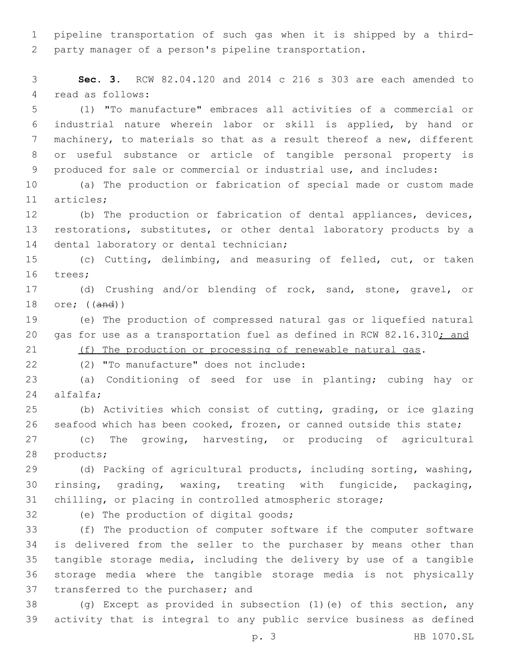pipeline transportation of such gas when it is shipped by a third-party manager of a person's pipeline transportation.

 **Sec. 3.** RCW 82.04.120 and 2014 c 216 s 303 are each amended to 4 read as follows:

 (1) "To manufacture" embraces all activities of a commercial or industrial nature wherein labor or skill is applied, by hand or machinery, to materials so that as a result thereof a new, different or useful substance or article of tangible personal property is produced for sale or commercial or industrial use, and includes:

 (a) The production or fabrication of special made or custom made 11 articles:

 (b) The production or fabrication of dental appliances, devices, restorations, substitutes, or other dental laboratory products by a 14 dental laboratory or dental technician;

 (c) Cutting, delimbing, and measuring of felled, cut, or taken 16 trees;

 (d) Crushing and/or blending of rock, sand, stone, gravel, or ore; ((and))

 (e) The production of compressed natural gas or liquefied natural 20 gas for use as a transportation fuel as defined in RCW 82.16.310; and 21 (f) The production or processing of renewable natural gas.

(2) "To manufacture" does not include:22

 (a) Conditioning of seed for use in planting; cubing hay or alfalfa;24

 (b) Activities which consist of cutting, grading, or ice glazing seafood which has been cooked, frozen, or canned outside this state;

 (c) The growing, harvesting, or producing of agricultural 28 products;

 (d) Packing of agricultural products, including sorting, washing, rinsing, grading, waxing, treating with fungicide, packaging, chilling, or placing in controlled atmospheric storage;

32 (e) The production of digital goods;

 (f) The production of computer software if the computer software is delivered from the seller to the purchaser by means other than tangible storage media, including the delivery by use of a tangible storage media where the tangible storage media is not physically 37 transferred to the purchaser; and

 (g) Except as provided in subsection (1)(e) of this section, any activity that is integral to any public service business as defined

p. 3 HB 1070.SL